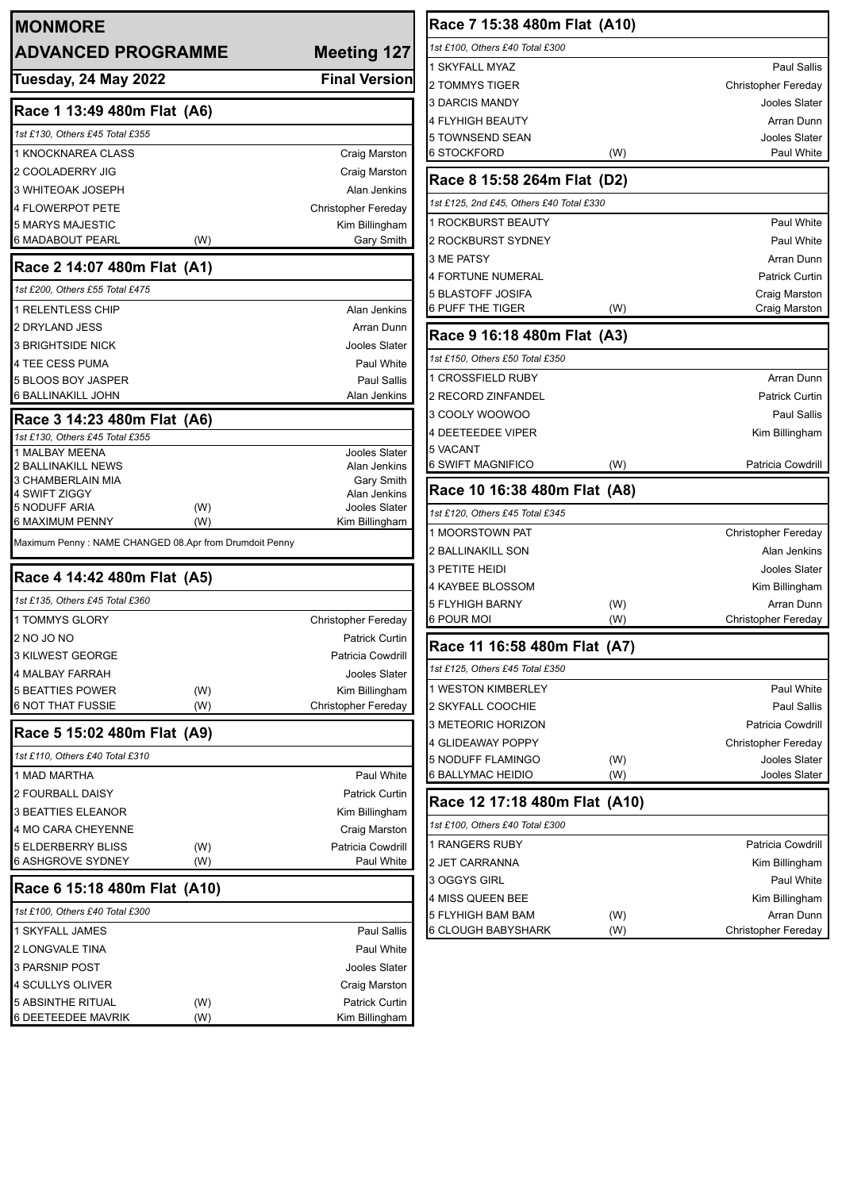| <b>MONMORE</b>                                         |            |                                              | Race 7 15:38 480m Flat (A10)             |            |                                   |
|--------------------------------------------------------|------------|----------------------------------------------|------------------------------------------|------------|-----------------------------------|
| <b>ADVANCED PROGRAMME</b>                              |            | <b>Meeting 127</b>                           | 1st £100, Others £40 Total £300          |            |                                   |
|                                                        |            |                                              | 1 SKYFALL MYAZ                           |            | Paul Sallis                       |
| Tuesday, 24 May 2022                                   |            | <b>Final Version</b>                         | 2 TOMMYS TIGER                           |            | <b>Christopher Fereday</b>        |
| Race 1 13:49 480m Flat (A6)                            |            |                                              | 3 DARCIS MANDY                           |            | Jooles Slater                     |
|                                                        |            |                                              | 4 FLYHIGH BEAUTY                         |            | Arran Dunn                        |
| 1st £130, Others £45 Total £355                        |            |                                              | 5 TOWNSEND SEAN                          |            | Jooles Slater                     |
| 1 KNOCKNAREA CLASS                                     |            | Craig Marston                                | <b>6 STOCKFORD</b>                       | (W)        | Paul White                        |
| 2 COOLADERRY JIG                                       |            | Craig Marston                                | Race 8 15:58 264m Flat (D2)              |            |                                   |
| 3 WHITEOAK JOSEPH                                      |            | Alan Jenkins                                 | 1st £125, 2nd £45, Others £40 Total £330 |            |                                   |
| 4 FLOWERPOT PETE<br>5 MARYS MAJESTIC                   |            | <b>Christopher Fereday</b><br>Kim Billingham | 1 ROCKBURST BEAUTY                       |            | Paul White                        |
| 6 MADABOUT PEARL                                       | (W)        | Gary Smith                                   | <b>2 ROCKBURST SYDNEY</b>                |            | Paul White                        |
|                                                        |            |                                              | 3 ME PATSY                               |            | Arran Dunn                        |
| Race 2 14:07 480m Flat (A1)                            |            |                                              | <b>4 FORTUNE NUMERAL</b>                 |            | <b>Patrick Curtin</b>             |
| 1st £200, Others £55 Total £475                        |            |                                              | <b>5 BLASTOFF JOSIFA</b>                 |            | Craig Marston                     |
| 1 RELENTLESS CHIP                                      |            | Alan Jenkins                                 | <b>6 PUFF THE TIGER</b>                  | (W)        | Craig Marston                     |
| 2 DRYLAND JESS                                         |            | Arran Dunn                                   | Race 9 16:18 480m Flat (A3)              |            |                                   |
| <b>3 BRIGHTSIDE NICK</b>                               |            | Jooles Slater                                |                                          |            |                                   |
| 4 TEE CESS PUMA                                        |            | Paul White                                   | 1st £150, Others £50 Total £350          |            |                                   |
| 5 BLOOS BOY JASPER                                     |            | Paul Sallis                                  | 1 CROSSFIELD RUBY                        |            | Arran Dunn                        |
| 6 BALLINAKILL JOHN                                     |            | Alan Jenkins                                 | 2 RECORD ZINFANDEL                       |            | <b>Patrick Curtin</b>             |
| Race 3 14:23 480m Flat (A6)                            |            |                                              | 3 COOLY WOOWOO                           |            | <b>Paul Sallis</b>                |
| 1st £130, Others £45 Total £355                        |            |                                              | <b>4 DEETEEDEE VIPER</b><br>5 VACANT     |            | Kim Billingham                    |
| 1 MALBAY MEENA<br>2 BALLINAKILL NEWS                   |            | Jooles Slater<br>Alan Jenkins                | 6 SWIFT MAGNIFICO                        | (W)        | Patricia Cowdrill                 |
| 3 CHAMBERLAIN MIA                                      |            | Gary Smith                                   |                                          |            |                                   |
| 4 SWIFT ZIGGY                                          |            | Alan Jenkins                                 | Race 10 16:38 480m Flat (A8)             |            |                                   |
| <b>5 NODUFF ARIA</b><br>6 MAXIMUM PENNY                | (W)<br>(W) | Jooles Slater<br>Kim Billingham              | 1st £120, Others £45 Total £345          |            |                                   |
| Maximum Penny: NAME CHANGED 08.Apr from Drumdoit Penny |            |                                              | 1 MOORSTOWN PAT                          |            | <b>Christopher Fereday</b>        |
|                                                        |            |                                              | 2 BALLINAKILL SON                        |            | Alan Jenkins                      |
| Race 4 14:42 480m Flat (A5)                            |            |                                              | 3 PETITE HEIDI                           |            | Jooles Slater                     |
| 1st £135, Others £45 Total £360                        |            |                                              | 4 KAYBEE BLOSSOM                         |            | Kim Billingham                    |
| 1 TOMMYS GLORY                                         |            | <b>Christopher Fereday</b>                   | <b>5 FLYHIGH BARNY</b><br>6 POUR MOI     | (W)<br>(W) | Arran Dunn<br>Christopher Fereday |
| 2 NO JO NO                                             |            | Patrick Curtin                               |                                          |            |                                   |
| 3 KILWEST GEORGE                                       |            | Patricia Cowdrill                            | Race 11 16:58 480m Flat (A7)             |            |                                   |
| 4 MALBAY FARRAH                                        |            | <b>Jooles Slater</b>                         | 1st £125, Others £45 Total £350          |            |                                   |
| <b>5 BEATTIES POWER</b>                                | (W)        | Kim Billingham                               | 1 WESTON KIMBERLEY                       |            | Paul White                        |
| <b>6 NOT THAT FUSSIE</b>                               | (W)        | Christopher Fereday                          | 2 SKYFALL COOCHIE                        |            | <b>Paul Sallis</b>                |
|                                                        |            |                                              | 3 METEORIC HORIZON                       |            | Patricia Cowdrill                 |
| Race 5 15:02 480m Flat (A9)                            |            |                                              | 4 GLIDEAWAY POPPY                        |            | Christopher Fereday               |
| 1st £110, Others £40 Total £310                        |            |                                              | 5 NODUFF FLAMINGO                        | (W)        | Jooles Slater                     |
| 1 MAD MARTHA                                           |            | Paul White                                   | 6 BALLYMAC HEIDIO                        | (W)        | Jooles Slater                     |
| 2 FOURBALL DAISY                                       |            | <b>Patrick Curtin</b>                        | Race 12 17:18 480m Flat (A10)            |            |                                   |
| <b>3 BEATTIES ELEANOR</b>                              |            | Kim Billingham                               | 1st £100, Others £40 Total £300          |            |                                   |
| 4 MO CARA CHEYENNE                                     |            | Craig Marston                                | 1 RANGERS RUBY                           |            | Patricia Cowdrill                 |
| <b>5 ELDERBERRY BLISS</b><br><b>6 ASHGROVE SYDNEY</b>  | (W)<br>(W) | Patricia Cowdrill<br>Paul White              | 2 JET CARRANNA                           |            | Kim Billingham                    |
|                                                        |            |                                              | 3 OGGYS GIRL                             |            | Paul White                        |
| Race 6 15:18 480m Flat (A10)                           |            |                                              | 4 MISS QUEEN BEE                         |            | Kim Billingham                    |
| 1st £100, Others £40 Total £300                        |            |                                              | 5 FLYHIGH BAM BAM                        | (W)        | Arran Dunn                        |
| 1 SKYFALL JAMES                                        |            | Paul Sallis                                  | 6 CLOUGH BABYSHARK                       | (W)        | Christopher Fereday               |
| 2 LONGVALE TINA                                        |            | Paul White                                   |                                          |            |                                   |
| 3 PARSNIP POST                                         |            | Jooles Slater                                |                                          |            |                                   |
| 4 SCULLYS OLIVER                                       |            | Craig Marston                                |                                          |            |                                   |
| <b>5 ABSINTHE RITUAL</b>                               | (W)        | Patrick Curtin                               |                                          |            |                                   |
| 6 DEETEEDEE MAVRIK                                     | (W)        | Kim Billingham                               |                                          |            |                                   |